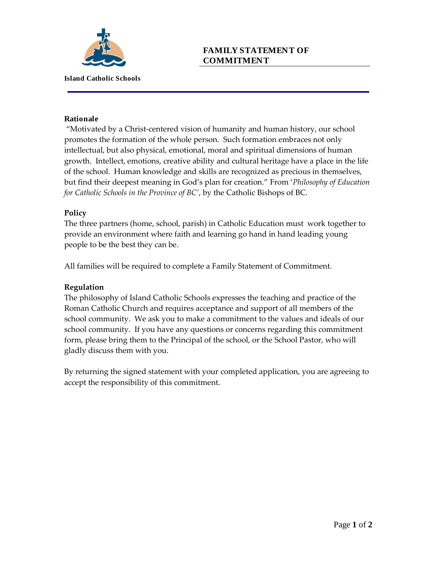

# **FAMILY STATEMENT OF COMMITMENT**

#### **Rationale**

"Motivated by a Christ-centered vision of humanity and human history, our school promotes the formation of the whole person. Such formation embraces not only intellectual, but also physical, emotional, moral and spiritual dimensions of human growth. Intellect, emotions, creative ability and cultural heritage have a place in the life of the school. Human knowledge and skills are recognized as precious in themselves, but find their deepest meaning in God's plan for creation." From '*Philosophy of Education for Catholic Schools in the Province of BC'*, by the Catholic Bishops of BC.

#### **Policy**

The three partners (home, school, parish) in Catholic Education must work together to provide an environment where faith and learning go hand in hand leading young people to be the best they can be.

All families will be required to complete a Family Statement of Commitment.

### **Regulation**

The philosophy of Island Catholic Schools expresses the teaching and practice of the Roman Catholic Church and requires acceptance and support of all members of the school community. We ask you to make a commitment to the values and ideals of our school community. If you have any questions or concerns regarding this commitment form, please bring them to the Principal of the school, or the School Pastor, who will gladly discuss them with you.

By returning the signed statement with your completed application, you are agreeing to accept the responsibility of this commitment.